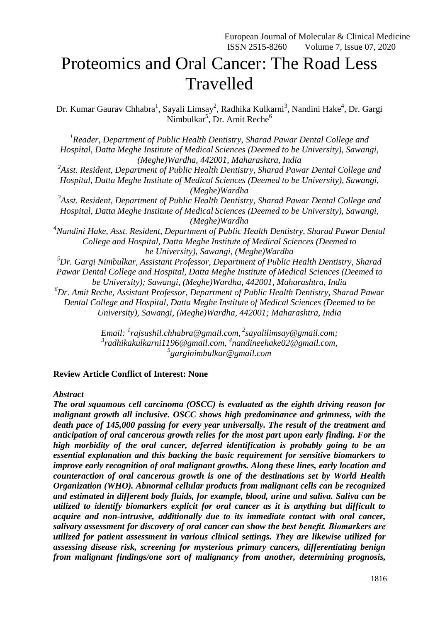# Proteomics and Oral Cancer: The Road Less Travelled

Dr. Kumar Gaurav Chhabra<sup>1</sup>, Sayali Limsay<sup>2</sup>, Radhika Kulkarni<sup>3</sup>, Nandini Hake<sup>4</sup>, Dr. Gargi Nimbulkar<sup>5</sup>, Dr. Amit Reche<sup>6</sup>

<sup>1</sup> Reader, Department of Public Health Dentistry, Sharad Pawar Dental College and *Hospital, Datta Meghe Institute of Medical Sciences (Deemed to be University), Sawangi, (Meghe)Wardha, 442001, Maharashtra, India 2 Asst. Resident, Department of Public Health Dentistry, Sharad Pawar Dental College and Hospital, Datta Meghe Institute of Medical Sciences (Deemed to be University), Sawangi, (Meghe)Wardha 3 Asst. Resident, Department of Public Health Dentistry, Sharad Pawar Dental College and Hospital, Datta Meghe Institute of Medical Sciences (Deemed to be University), Sawangi, (Meghe)Wardha <sup>4</sup>Nandini Hake, Asst. Resident, Department of Public Health Dentistry, Sharad Pawar Dental College and Hospital, Datta Meghe Institute of Medical Sciences (Deemed to be University), Sawangi, (Meghe)Wardha <sup>5</sup>Dr. Gargi Nimbulkar, Assistant Professor, Department of Public Health Dentistry, Sharad Pawar Dental College and Hospital, Datta Meghe Institute of Medical Sciences (Deemed to be University); Sawangi, (Meghe)Wardha, 442001, Maharashtra, India <sup>6</sup>Dr. Amit Reche, Assistant Professor, Department of Public Health Dentistry, Sharad Pawar Dental College and Hospital, Datta Meghe Institute of Medical Sciences (Deemed to be University), Sawangi, (Meghe)Wardha, 442001; Maharashtra, India*

> *Email: <sup>1</sup> rajsushil.chhabra@gmail.com, 2 [sayalilimsay@gmail.com;](mailto:sayalilimsay@gmail.com) 3 [radhikakulkarni1196@gmail.com,](mailto:radhikakulkarni1196@gmail.com) 4 [nandineehake02@gmail.com,](mailto:nandineehake02@gmail.com) 5 [garginimbulkar@gmail.com](mailto:garginimbulkar@gmail.com)*

## **Review Article Conflict of Interest: None**

#### *Abstract*

*The oral squamous cell carcinoma (OSCC) is evaluated as the eighth driving reason for malignant growth all inclusive. OSCC shows high predominance and grimness, with the death pace of 145,000 passing for every year universally. The result of the treatment and anticipation of oral cancerous growth relies for the most part upon early finding. For the high morbidity of the oral cancer, deferred identification is probably going to be an essential explanation and this backing the basic requirement for sensitive biomarkers to improve early recognition of oral malignant growths. Along these lines, early location and counteraction of oral cancerous growth is one of the destinations set by World Health Organization (WHO). Abnormal cellular products from malignant cells can be recognized and estimated in different body fluids, for example, blood, urine and saliva. Saliva can be utilized to identify biomarkers explicit for oral cancer as it is anything but difficult to acquire and non-intrusive, additionally due to its immediate contact with oral cancer, salivary assessment for discovery of oral cancer can show the best benefit. Biomarkers are utilized for patient assessment in various clinical settings. They are likewise utilized for assessing disease risk, screening for mysterious primary cancers, differentiating benign from malignant findings/one sort of malignancy from another, determining prognosis,*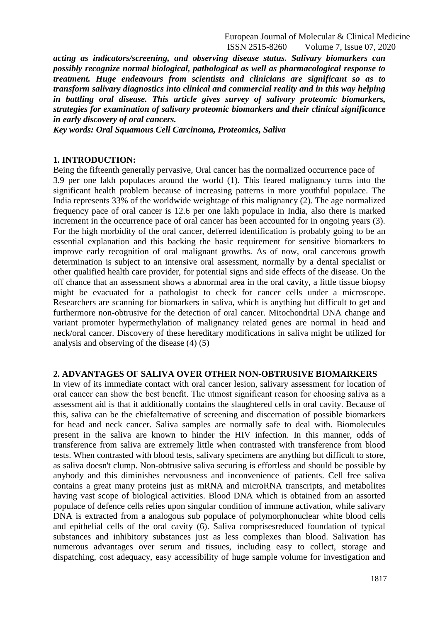European Journal of Molecular & Clinical Medicine ISSN 2515-8260 Volume 7, Issue 07, 2020

*acting as indicators/screening, and observing disease status. Salivary biomarkers can possibly recognize normal biological, pathological as well as pharmacological response to treatment. Huge endeavours from scientists and clinicians are significant so as to transform salivary diagnostics into clinical and commercial reality and in this way helping in battling oral disease. This article gives survey of salivary proteomic biomarkers, strategies for examination of salivary proteomic biomarkers and their clinical significance in early discovery of oral cancers.*

*Key words: Oral Squamous Cell Carcinoma, Proteomics, Saliva*

#### **1. INTRODUCTION:**

Being the fifteenth generally pervasive, Oral cancer has the normalized occurrence pace of 3.9 per one lakh populaces around the world (1). This feared malignancy turns into the significant health problem because of increasing patterns in more youthful populace. The India represents 33% of the worldwide weightage of this malignancy (2). The age normalized frequency pace of oral cancer is 12.6 per one lakh populace in India, also there is marked increment in the occurrence pace of oral cancer has been accounted for in ongoing years (3). For the high morbidity of the oral cancer, deferred identification is probably going to be an essential explanation and this backing the basic requirement for sensitive biomarkers to improve early recognition of oral malignant growths. As of now, oral cancerous growth determination is subject to an intensive oral assessment, normally by a dental specialist or other qualified health care provider, for potential signs and side effects of the disease. On the off chance that an assessment shows a abnormal area in the oral cavity, a little tissue biopsy might be evacuated for a pathologist to check for cancer cells under a microscope. Researchers are scanning for biomarkers in saliva, which is anything but difficult to get and furthermore non-obtrusive for the detection of oral cancer. Mitochondrial DNA change and variant promoter hypermethylation of malignancy related genes are normal in head and neck/oral cancer. Discovery of these hereditary modifications in saliva might be utilized for analysis and observing of the disease (4) (5)

#### **2. ADVANTAGES OF SALIVA OVER OTHER NON-OBTRUSIVE BIOMARKERS**

In view of its immediate contact with oral cancer lesion, salivary assessment for location of oral cancer can show the best benefit. The utmost significant reason for choosing saliva as a assessment aid is that it additionally contains the slaughtered cells in oral cavity. Because of this, saliva can be the chiefalternative of screening and discernation of possible biomarkers for head and neck cancer. Saliva samples are normally safe to deal with. Biomolecules present in the saliva are known to hinder the HIV infection. In this manner, odds of transference from saliva are extremely little when contrasted with transference from blood tests. When contrasted with blood tests, salivary specimens are anything but difficult to store, as saliva doesn't clump. Non-obtrusive saliva securing is effortless and should be possible by anybody and this diminishes nervousness and inconvenience of patients. Cell free saliva contains a great many proteins just as mRNA and microRNA transcripts, and metabolites having vast scope of biological activities. Blood DNA which is obtained from an assorted populace of defence cells relies upon singular condition of immune activation, while salivary DNA is extracted from a analogous sub populace of polymorphonuclear white blood cells and epithelial cells of the oral cavity (6). Saliva comprisesreduced foundation of typical substances and inhibitory substances just as less complexes than blood. Salivation has numerous advantages over serum and tissues, including easy to collect, storage and dispatching, cost adequacy, easy accessibility of huge sample volume for investigation and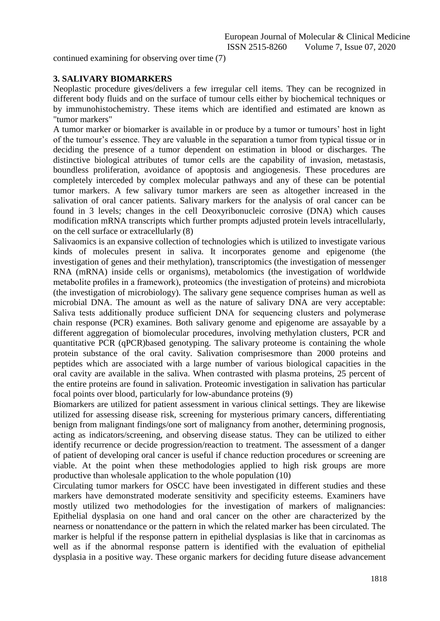continued examining for observing over time (7)

## **3. SALIVARY BIOMARKERS**

Neoplastic procedure gives/delivers a few irregular cell items. They can be recognized in different body fluids and on the surface of tumour cells either by biochemical techniques or by immunohistochemistry. These items which are identified and estimated are known as "tumor markers"

A tumor marker or biomarker is available in or produce by a tumor or tumours' host in light of the tumour's essence. They are valuable in the separation a tumor from typical tissue or in deciding the presence of a tumor dependent on estimation in blood or discharges. The distinctive biological attributes of tumor cells are the capability of invasion, metastasis, boundless proliferation, avoidance of apoptosis and angiogenesis. These procedures are completely interceded by complex molecular pathways and any of these can be potential tumor markers. A few salivary tumor markers are seen as altogether increased in the salivation of oral cancer patients. Salivary markers for the analysis of oral cancer can be found in 3 levels; changes in the cell Deoxyribonucleic corrosive (DNA) which causes modification mRNA transcripts which further prompts adjusted protein levels intracellularly, on the cell surface or extracellularly (8)

Salivaomics is an expansive collection of technologies which is utilized to investigate various kinds of molecules present in saliva. It incorporates genome and epigenome (the investigation of genes and their methylation), transcriptomics (the investigation of messenger RNA (mRNA) inside cells or organisms), metabolomics (the investigation of worldwide metabolite profiles in a framework), proteomics (the investigation of proteins) and microbiota (the investigation of microbiology). The salivary gene sequence comprises human as well as microbial DNA. The amount as well as the nature of salivary DNA are very acceptable: Saliva tests additionally produce sufficient DNA for sequencing clusters and polymerase chain response (PCR) examines. Both salivary genome and epigenome are assayable by a different aggregation of biomolecular procedures, involving methylation clusters, PCR and quantitative PCR (qPCR)based genotyping. The salivary proteome is containing the whole protein substance of the oral cavity. Salivation comprisesmore than 2000 proteins and peptides which are associated with a large number of various biological capacities in the oral cavity are available in the saliva. When contrasted with plasma proteins, 25 percent of the entire proteins are found in salivation. Proteomic investigation in salivation has particular focal points over blood, particularly for low-abundance proteins (9)

Biomarkers are utilized for patient assessment in various clinical settings. They are likewise utilized for assessing disease risk, screening for mysterious primary cancers, differentiating benign from malignant findings/one sort of malignancy from another, determining prognosis, acting as indicators/screening, and observing disease status. They can be utilized to either identify recurrence or decide progression/reaction to treatment. The assessment of a danger of patient of developing oral cancer is useful if chance reduction procedures or screening are viable. At the point when these methodologies applied to high risk groups are more productive than wholesale application to the whole population (10)

Circulating tumor markers for OSCC have been investigated in different studies and these markers have demonstrated moderate sensitivity and specificity esteems. Examiners have mostly utilized two methodologies for the investigation of markers of malignancies: Epithelial dysplasia on one hand and oral cancer on the other are characterized by the nearness or nonattendance or the pattern in which the related marker has been circulated. The marker is helpful if the response pattern in epithelial dysplasias is like that in carcinomas as well as if the abnormal response pattern is identified with the evaluation of epithelial dysplasia in a positive way. These organic markers for deciding future disease advancement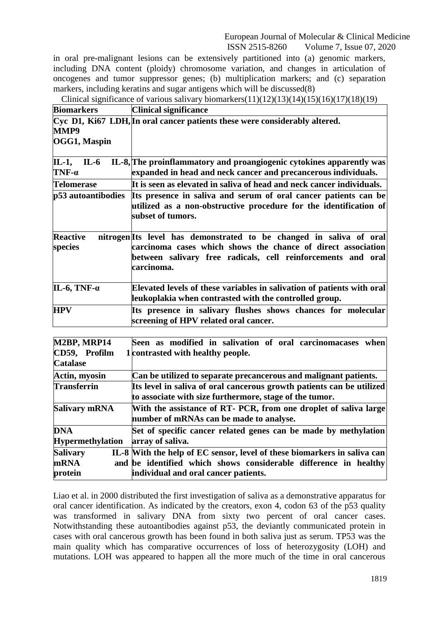European Journal of Molecular & Clinical Medicine ISSN 2515-8260 Volume 7, Issue 07, 2020

in oral pre-malignant lesions can be extensively partitioned into (a) genomic markers, including DNA content (ploidy) chromosome variation, and changes in articulation of oncogenes and tumor suppressor genes; (b) multiplication markers; and (c) separation markers, including keratins and sugar antigens which will be discussed(8)

| <b>Biomarkers</b>               | <b>Clinical significance</b>                                                                                                                                                                                      |
|---------------------------------|-------------------------------------------------------------------------------------------------------------------------------------------------------------------------------------------------------------------|
| MMP9<br>OGG1, Maspin            | Cyc D1, Ki67 LDH, In oral cancer patients these were considerably altered.                                                                                                                                        |
| $IL-6$<br>IL-1,<br>$TNF-\alpha$ | IL-8, The proinflammatory and proangiogenic cytokines apparently was<br>expanded in head and neck cancer and precancerous individuals.                                                                            |
| <b>Telomerase</b>               | It is seen as elevated in saliva of head and neck cancer individuals.                                                                                                                                             |
| p53 autoantibodies              | Its presence in saliva and serum of oral cancer patients can be<br>utilized as a non-obstructive procedure for the identification of<br>subset of tumors.                                                         |
| <b>Reactive</b><br>species      | nitrogen Its level has demonstrated to be changed in saliva of oral<br>carcinoma cases which shows the chance of direct association<br>between salivary free radicals, cell reinforcements and oral<br>carcinoma. |
| IL-6, TNF- $\alpha$             | Elevated levels of these variables in salivation of patients with oral<br>leukoplakia when contrasted with the controlled group.                                                                                  |
| <b>HPV</b>                      | Its presence in salivary flushes shows chances for molecular<br>screening of HPV related oral cancer.                                                                                                             |

| M2BP, MRP14<br>CD59, Profilm | Seen as modified in salivation of oral carcinomacases when<br>1 contrasted with healthy people.                                  |
|------------------------------|----------------------------------------------------------------------------------------------------------------------------------|
| <b>Catalase</b>              |                                                                                                                                  |
| Actin, myosin                | Can be utilized to separate precancerous and malignant patients.                                                                 |
| <b>Transferrin</b>           | Its level in saliva of oral cancerous growth patients can be utilized<br>to associate with size furthermore, stage of the tumor. |
| Salivary mRNA                | With the assistance of RT- PCR, from one droplet of saliva large<br>number of mRNAs can be made to analyse.                      |
| <b>DNA</b>                   | Set of specific cancer related genes can be made by methylation                                                                  |
| <b>Hypermethylation</b>      | array of saliva.                                                                                                                 |
| <b>Salivary</b>              | IL-8 With the help of EC sensor, level of these biomarkers in saliva can                                                         |
| <b>mRNA</b><br>protein       | and be identified which shows considerable difference in healthy<br>individual and oral cancer patients.                         |

Liao et al. in 2000 distributed the first investigation of saliva as a demonstrative apparatus for oral cancer identification. As indicated by the creators, exon 4, codon 63 of the p53 quality was transformed in salivary DNA from sixty two percent of oral cancer cases. Notwithstanding these autoantibodies against p53, the deviantly communicated protein in cases with oral cancerous growth has been found in both saliva just as serum. TP53 was the main quality which has comparative occurrences of loss of heterozygosity (LOH) and mutations. LOH was appeared to happen all the more much of the time in oral cancerous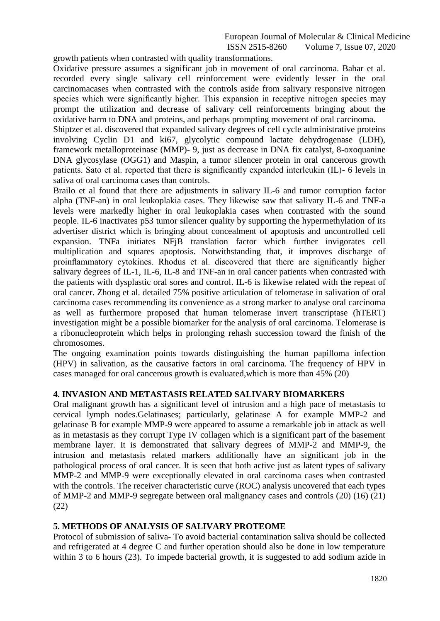# European Journal of Molecular & Clinical Medicine<br>ISSN 2515-8260 Volume 7, Issue 07, 2020 Volume 7, Issue 07, 2020

growth patients when contrasted with quality transformations.

Oxidative pressure assumes a significant job in movement of oral carcinoma. Bahar et al. recorded every single salivary cell reinforcement were evidently lesser in the oral carcinomacases when contrasted with the controls aside from salivary responsive nitrogen species which were significantly higher. This expansion in receptive nitrogen species may prompt the utilization and decrease of salivary cell reinforcements bringing about the oxidative harm to DNA and proteins, and perhaps prompting movement of oral carcinoma.

Shiptzer et al. discovered that expanded salivary degrees of cell cycle administrative proteins involving Cyclin D1 and ki67, glycolytic compound lactate dehydrogenase (LDH), framework metalloproteinase (MMP)- 9, just as decrease in DNA fix catalyst, 8-oxoquanine DNA glycosylase (OGG1) and Maspin, a tumor silencer protein in oral cancerous growth patients. Sato et al. reported that there is significantly expanded interleukin (IL)- 6 levels in saliva of oral carcinoma cases than controls.

Brailo et al found that there are adjustments in salivary IL-6 and tumor corruption factor alpha (TNF-an) in oral leukoplakia cases. They likewise saw that salivary IL-6 and TNF-a levels were markedly higher in oral leukoplakia cases when contrasted with the sound people. IL-6 inactivates p53 tumor silencer quality by supporting the hypermethylation of its advertiser district which is bringing about concealment of apoptosis and uncontrolled cell expansion. TNFa initiates NFjB translation factor which further invigorates cell multiplication and squares apoptosis. Notwithstanding that, it improves discharge of proinflammatory cytokines. Rhodus et al. discovered that there are significantly higher salivary degrees of IL-1, IL-6, IL-8 and TNF-an in oral cancer patients when contrasted with the patients with dysplastic oral sores and control. IL-6 is likewise related with the repeat of oral cancer. Zhong et al. detailed 75% positive articulation of telomerase in salivation of oral carcinoma cases recommending its convenience as a strong marker to analyse oral carcinoma as well as furthermore proposed that human telomerase invert transcriptase (hTERT) investigation might be a possible biomarker for the analysis of oral carcinoma. Telomerase is a ribonucleoprotein which helps in prolonging rehash succession toward the finish of the chromosomes.

The ongoing examination points towards distinguishing the human papilloma infection (HPV) in salivation, as the causative factors in oral carcinoma. The frequency of HPV in cases managed for oral cancerous growth is evaluated,which is more than 45% (20)

## **4. INVASION AND METASTASIS RELATED SALIVARY BIOMARKERS**

Oral malignant growth has a significant level of intrusion and a high pace of metastasis to cervical lymph nodes.Gelatinases; particularly, gelatinase A for example MMP-2 and gelatinase B for example MMP-9 were appeared to assume a remarkable job in attack as well as in metastasis as they corrupt Type IV collagen which is a significant part of the basement membrane layer. It is demonstrated that salivary degrees of MMP-2 and MMP-9, the intrusion and metastasis related markers additionally have an significant job in the pathological process of oral cancer. It is seen that both active just as latent types of salivary MMP-2 and MMP-9 were exceptionally elevated in oral carcinoma cases when contrasted with the controls. The receiver characteristic curve (ROC) analysis uncovered that each types of MMP-2 and MMP-9 segregate between oral malignancy cases and controls (20) (16) (21) (22)

# **5. METHODS OF ANALYSIS OF SALIVARY PROTEOME**

Protocol of submission of saliva- To avoid bacterial contamination saliva should be collected and refrigerated at 4 degree C and further operation should also be done in low temperature within 3 to 6 hours (23). To impede bacterial growth, it is suggested to add sodium azide in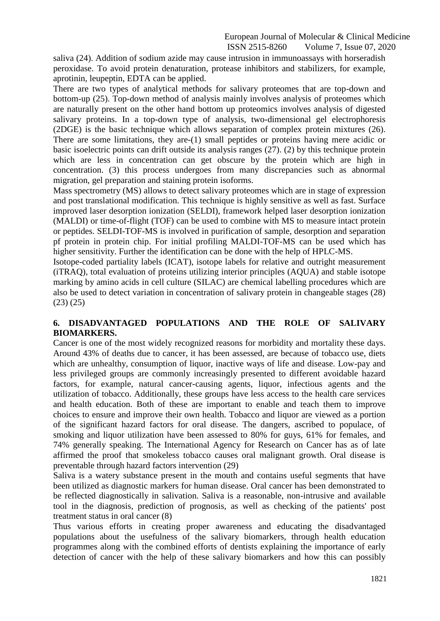European Journal of Molecular & Clinical Medicine<br>ISSN 2515-8260 Volume 7, Issue 07, 2020 Volume 7, Issue 07, 2020

saliva (24). Addition of sodium azide may cause intrusion in immunoassays with horseradish peroxidase. To avoid protein denaturation, protease inhibitors and stabilizers, for example, aprotinin, leupeptin, EDTA can be applied.

There are two types of analytical methods for salivary proteomes that are top-down and bottom-up (25). Top-down method of analysis mainly involves analysis of proteomes which are naturally present on the other hand bottom up proteomics involves analysis of digested salivary proteins. In a top-down type of analysis, two-dimensional gel electrophoresis (2DGE) is the basic technique which allows separation of complex protein mixtures (26). There are some limitations, they are-(1) small peptides or proteins having mere acidic or basic isoelectric points can drift outside its analysis ranges (27). (2) by this technique protein which are less in concentration can get obscure by the protein which are high in concentration. (3) this process undergoes from many discrepancies such as abnormal migration, gel preparation and staining protein isoforms.

Mass spectrometry (MS) allows to detect salivary proteomes which are in stage of expression and post translational modification. This technique is highly sensitive as well as fast. Surface improved laser desorption ionization (SELDI), framework helped laser desorption ionization (MALDI) or time-of-flight (TOF) can be used to combine with MS to measure intact protein or peptides. SELDI-TOF-MS is involved in purification of sample, desorption and separation pf protein in protein chip. For initial profiling MALDI-TOF-MS can be used which has higher sensitivity. Further the identification can be done with the help of HPLC-MS.

Isotope-coded partiality labels (ICAT), isotope labels for relative and outright measurement (iTRAQ), total evaluation of proteins utilizing interior principles (AQUA) and stable isotope marking by amino acids in cell culture (SILAC) are chemical labelling procedures which are also be used to detect variation in concentration of salivary protein in changeable stages (28) (23) (25)

# **6. DISADVANTAGED POPULATIONS AND THE ROLE OF SALIVARY BIOMARKERS.**

Cancer is one of the most widely recognized reasons for morbidity and mortality these days. Around 43% of deaths due to cancer, it has been assessed, are because of tobacco use, diets which are unhealthy, consumption of liquor, inactive ways of life and disease. Low-pay and less privileged groups are commonly increasingly presented to different avoidable hazard factors, for example, natural cancer-causing agents, liquor, infectious agents and the utilization of tobacco. Additionally, these groups have less access to the health care services and health education. Both of these are important to enable and teach them to improve choices to ensure and improve their own health. Tobacco and liquor are viewed as a portion of the significant hazard factors for oral disease. The dangers, ascribed to populace, of smoking and liquor utilization have been assessed to 80% for guys, 61% for females, and 74% generally speaking. The International Agency for Research on Cancer has as of late affirmed the proof that smokeless tobacco causes oral malignant growth. Oral disease is preventable through hazard factors intervention (29)

Saliva is a watery substance present in the mouth and contains useful segments that have been utilized as diagnostic markers for human disease. Oral cancer has been demonstrated to be reflected diagnostically in salivation. Saliva is a reasonable, non-intrusive and available tool in the diagnosis, prediction of prognosis, as well as checking of the patients' post treatment status in oral cancer (8)

Thus various efforts in creating proper awareness and educating the disadvantaged populations about the usefulness of the salivary biomarkers, through health education programmes along with the combined efforts of dentists explaining the importance of early detection of cancer with the help of these salivary biomarkers and how this can possibly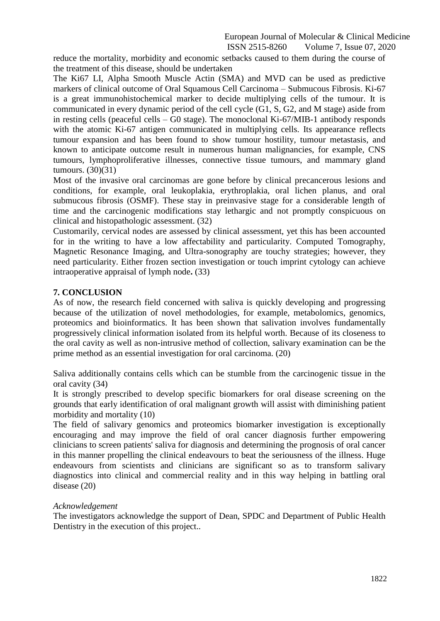European Journal of Molecular & Clinical Medicine

ISSN 2515-8260 Volume 7, Issue 07, 2020

reduce the mortality, morbidity and economic setbacks caused to them during the course of the treatment of this disease, should be undertaken

The Ki67 LI, Alpha Smooth Muscle Actin (SMA) and MVD can be used as predictive markers of clinical outcome of Oral Squamous Cell Carcinoma – Submucous Fibrosis. Ki-67 is a great immunohistochemical marker to decide multiplying cells of the tumour. It is communicated in every dynamic period of the cell cycle (G1, S, G2, and M stage) aside from in resting cells (peaceful cells – G0 stage). The monoclonal Ki-67/MIB-1 antibody responds with the atomic Ki-67 antigen communicated in multiplying cells. Its appearance reflects tumour expansion and has been found to show tumour hostility, tumour metastasis, and known to anticipate outcome result in numerous human malignancies, for example, CNS tumours, lymphoproliferative illnesses, connective tissue tumours, and mammary gland tumours. (30)(31)

Most of the invasive oral carcinomas are gone before by clinical precancerous lesions and conditions, for example, oral leukoplakia, erythroplakia, oral lichen planus, and oral submucous fibrosis (OSMF). These stay in preinvasive stage for a considerable length of time and the carcinogenic modifications stay lethargic and not promptly conspicuous on clinical and histopathologic assessment. (32)

Customarily, cervical nodes are assessed by clinical assessment, yet this has been accounted for in the writing to have a low affectability and particularity. Computed Tomography, Magnetic Resonance Imaging, and Ultra-sonography are touchy strategies; however, they need particularity. Either frozen section investigation or touch imprint cytology can achieve intraoperative appraisal of lymph node**.** (33)

## **7. CONCLUSION**

As of now, the research field concerned with saliva is quickly developing and progressing because of the utilization of novel methodologies, for example, metabolomics, genomics, proteomics and bioinformatics. It has been shown that salivation involves fundamentally progressively clinical information isolated from its helpful worth. Because of its closeness to the oral cavity as well as non-intrusive method of collection, salivary examination can be the prime method as an essential investigation for oral carcinoma. (20)

Saliva additionally contains cells which can be stumble from the carcinogenic tissue in the oral cavity (34)

It is strongly prescribed to develop specific biomarkers for oral disease screening on the grounds that early identification of oral malignant growth will assist with diminishing patient morbidity and mortality (10)

The field of salivary genomics and proteomics biomarker investigation is exceptionally encouraging and may improve the field of oral cancer diagnosis further empowering clinicians to screen patients' saliva for diagnosis and determining the prognosis of oral cancer in this manner propelling the clinical endeavours to beat the seriousness of the illness. Huge endeavours from scientists and clinicians are significant so as to transform salivary diagnostics into clinical and commercial reality and in this way helping in battling oral disease (20)

#### *Acknowledgement*

The investigators acknowledge the support of Dean, SPDC and Department of Public Health Dentistry in the execution of this project..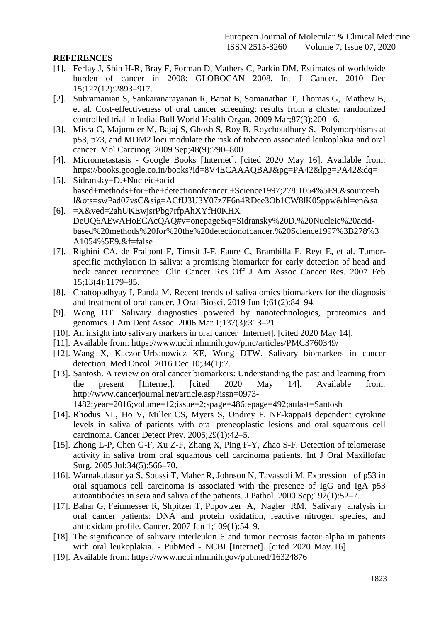## **REFERENCES**

- [1]. Ferlay J, Shin H-R, Bray F, Forman D, Mathers C, Parkin DM. Estimates of worldwide burden of cancer in 2008: GLOBOCAN 2008. Int J Cancer. 2010 Dec 15;127(12):2893–917.
- [2]. Subramanian S, Sankaranarayanan R, Bapat B, Somanathan T, Thomas G, Mathew B, et al. Cost-effectiveness of oral cancer screening: results from a cluster randomized controlled trial in India. Bull World Health Organ. 2009 Mar;87(3):200– 6.
- [3]. Misra C, Majumder M, Bajaj S, Ghosh S, Roy B, Roychoudhury S. Polymorphisms at p53, p73, and MDM2 loci modulate the risk of tobacco associated leukoplakia and oral cancer. Mol Carcinog. 2009 Sep;48(9):790–800.
- [4]. Micrometastasis Google Books [Internet]. [cited 2020 May 16]. Available from: https://books.google.co.in/books?id=8V4ECAAAQBAJ&pg=PA42&lpg=PA42&dq=
- [5]. Sidransky+D.+Nucleic+acidbased+methods+for+the+detectionofcancer.+Science1997;278:1054%5E9.&source=b l&ots=swPad07vsC&sig=ACfU3U3Y07z7F6n4RDee3Ob1CW8lK05ppw&hl=en&sa
- [6]. =X&ved=2ahUKEwjsrPbg7rfpAhXYfH0KHX DeUQ6AEwAHoECAcQAQ#v=onepage&q=Sidransky%20D.%20Nucleic%20acidbased%20methods%20for%20the%20detectionofcancer.%20Science1997%3B278%3 A1054%5E9.&f=false
- [7]. Righini CA, de Fraipont F, Timsit J-F, Faure C, Brambilla E, Reyt E, et al. Tumorspecific methylation in saliva: a promising biomarker for early detection of head and neck cancer recurrence. Clin Cancer Res Off J Am Assoc Cancer Res. 2007 Feb 15;13(4):1179–85.
- [8]. Chattopadhyay I, Panda M. Recent trends of saliva omics biomarkers for the diagnosis and treatment of oral cancer. J Oral Biosci. 2019 Jun 1;61(2):84–94.
- [9]. Wong DT. Salivary diagnostics powered by nanotechnologies, proteomics and genomics. J Am Dent Assoc. 2006 Mar 1;137(3):313–21.
- [10]. An insight into salivary markers in oral cancer [Internet]. [cited 2020 May 14].
- [11]. Available from: https:/[/www.ncbi.nlm.nih.gov/pmc/articles/PMC3760349/](http://www.ncbi.nlm.nih.gov/pmc/articles/PMC3760349/)
- [12]. Wang X, Kaczor-Urbanowicz KE, Wong DTW. Salivary biomarkers in cancer detection. Med Oncol. 2016 Dec 10;34(1):7.
- [13]. Santosh. A review on oral cancer biomarkers: Understanding the past and learning from the present [Internet]. [cited 2020 May 14]. Available from: <http://www.cancerjournal.net/article.asp?issn=0973-> 1482;year=2016;volume=12;issue=2;spage=486;epage=492;aulast=Santosh
- [14]. Rhodus NL, Ho V, Miller CS, Myers S, Ondrey F. NF-kappaB dependent cytokine levels in saliva of patients with oral preneoplastic lesions and oral squamous cell carcinoma. Cancer Detect Prev. 2005;29(1):42–5.
- [15]. Zhong L-P, Chen G-F, Xu Z-F, Zhang X, Ping F-Y, Zhao S-F. Detection of telomerase activity in saliva from oral squamous cell carcinoma patients. Int J Oral Maxillofac Surg. 2005 Jul;34(5):566–70.
- [16]. Warnakulasuriya S, Soussi T, Maher R, Johnson N, Tavassoli M. Expression of p53 in oral squamous cell carcinoma is associated with the presence of IgG and IgA p53 autoantibodies in sera and saliva of the patients. J Pathol. 2000 Sep;192(1):52–7.
- [17]. Bahar G, Feinmesser R, Shpitzer T, Popovtzer A, Nagler RM. Salivary analysis in oral cancer patients: DNA and protein oxidation, reactive nitrogen species, and antioxidant profile. Cancer. 2007 Jan 1;109(1):54–9.
- [18]. The significance of salivary interleukin 6 and tumor necrosis factor alpha in patients with oral leukoplakia. - PubMed - NCBI [Internet]. [cited 2020 May 16].
- [19]. Available from: https:/[/www.ncbi.nlm.nih.gov/pubmed/16324876](http://www.ncbi.nlm.nih.gov/pubmed/16324876)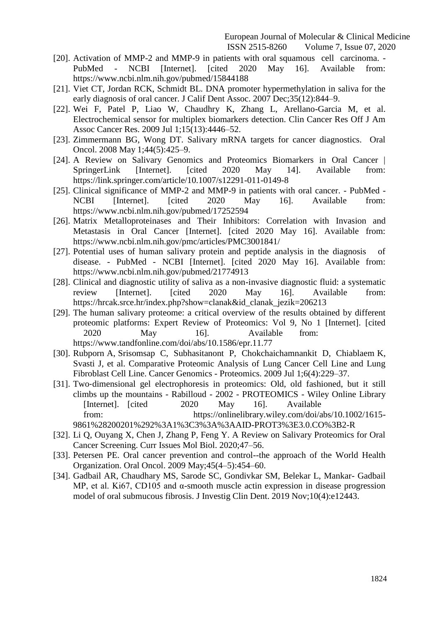- [20]. Activation of MMP-2 and MMP-9 in patients with oral squamous cell carcinoma. PubMed - NCBI [Internet]. [cited 2020 May 16]. Available from: https:[//www.ncbi.nlm.nih.gov/pubmed/15844188](http://www.ncbi.nlm.nih.gov/pubmed/15844188)
- [21]. Viet CT, Jordan RCK, Schmidt BL. DNA promoter hypermethylation in saliva for the early diagnosis of oral cancer. J Calif Dent Assoc. 2007 Dec;35(12):844–9.
- [22]. Wei F, Patel P, Liao W, Chaudhry K, Zhang L, Arellano-Garcia M, et al. Electrochemical sensor for multiplex biomarkers detection. Clin Cancer Res Off J Am Assoc Cancer Res. 2009 Jul 1;15(13):4446–52.
- [23]. Zimmermann BG, Wong DT. Salivary mRNA targets for cancer diagnostics. Oral Oncol. 2008 May 1;44(5):425–9.
- [24]. A Review on Salivary Genomics and Proteomics Biomarkers in Oral Cancer | SpringerLink [Internet]. [cited 2020 May 14]. Available from: https://link.springer.com/article/10.1007/s12291-011-0149-8
- [25]. Clinical significance of MMP-2 and MMP-9 in patients with oral cancer. PubMed -NCBI [Internet]. [cited 2020 May 16]. Available from: https:/[/www.ncbi.nlm.nih.gov/pubmed/17252594](http://www.ncbi.nlm.nih.gov/pubmed/17252594)
- [26]. Matrix Metalloproteinases and Their Inhibitors: Correlation with Invasion and Metastasis in Oral Cancer [Internet]. [cited 2020 May 16]. Available from: ht[tps://www.ncbi.nlm.nih.gov/pmc/articles/PMC3001841/](http://www.ncbi.nlm.nih.gov/pmc/articles/PMC3001841/)
- [27]. Potential uses of human salivary protein and peptide analysis in the diagnosis of disease. - PubMed - NCBI [Internet]. [cited 2020 May 16]. Available from: https:[//www.ncbi.nlm.nih.gov/pubmed/21774913](http://www.ncbi.nlm.nih.gov/pubmed/21774913)
- [28]. Clinical and diagnostic utility of saliva as a non-invasive diagnostic fluid: a systematic review [Internet]. [cited 2020 May 16]. Available from: https://hrcak.srce.hr/index.php?show=clanak&id\_clanak\_jezik=206213
- [29]. The human salivary proteome: a critical overview of the results obtained by different proteomic platforms: Expert Review of Proteomics: Vol 9, No 1 [Internet]. [cited 2020 May 16]. Available from: ht[tps://www.tandfonline.com/doi/abs/10.1586/epr.11.77](http://www.tandfonline.com/doi/abs/10.1586/epr.11.77)
- [30]. Rubporn A, Srisomsap C, Subhasitanont P, Chokchaichamnankit D, Chiablaem K, Svasti J, et al. Comparative Proteomic Analysis of Lung Cancer Cell Line and Lung Fibroblast Cell Line. Cancer Genomics - Proteomics. 2009 Jul 1;6(4):229–37.
- [31]. Two-dimensional gel electrophoresis in proteomics: Old, old fashioned, but it still climbs up the mountains - Rabilloud - 2002 - PROTEOMICS - Wiley Online Library [Internet]. [cited 2020 May 16]. Available from: https://onlinelibrary.wiley.com/doi/abs/10.1002/1615- 9861%28200201%292%3A1%3C3%3A%3AAID-PROT3%3E3.0.CO%3B2-R
- [32]. Li Q, Ouyang X, Chen J, Zhang P, Feng Y. A Review on Salivary Proteomics for Oral Cancer Screening. Curr Issues Mol Biol. 2020;47–56.
- [33]. Petersen PE. Oral cancer prevention and control--the approach of the World Health Organization. Oral Oncol. 2009 May;45(4–5):454–60.
- [34]. Gadbail AR, Chaudhary MS, Sarode SC, Gondivkar SM, Belekar L, Mankar- Gadbail MP, et al. Ki67, CD105 and α-smooth muscle actin expression in disease progression model of oral submucous fibrosis. J Investig Clin Dent. 2019 Nov;10(4):e12443.